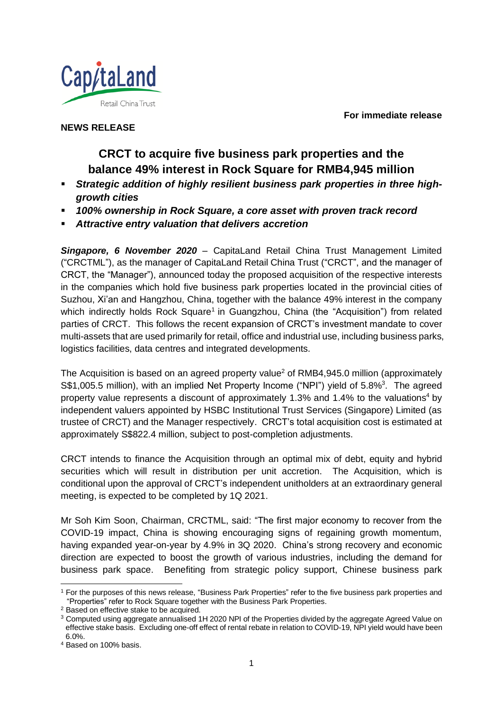**For immediate release**



**NEWS RELEASE**

# **CRCT to acquire five business park properties and the balance 49% interest in Rock Square for RMB4,945 million**

- *Strategic addition of highly resilient business park properties in three highgrowth cities*
- *100% ownership in Rock Square, a core asset with proven track record*
- *Attractive entry valuation that delivers accretion*

*Singapore, 6 November 2020* – CapitaLand Retail China Trust Management Limited ("CRCTML"), as the manager of CapitaLand Retail China Trust ("CRCT", and the manager of CRCT, the "Manager"), announced today the proposed acquisition of the respective interests in the companies which hold five business park properties located in the provincial cities of Suzhou, Xi'an and Hangzhou, China, together with the balance 49% interest in the company which indirectly holds Rock Square<sup>1</sup> in Guangzhou, China (the "Acquisition") from related parties of CRCT. This follows the recent expansion of CRCT's investment mandate to cover multi-assets that are used primarily for retail, office and industrial use, including business parks, logistics facilities, data centres and integrated developments.

The Acquisition is based on an agreed property value<sup>2</sup> of RMB4,945.0 million (approximately S\$1,005.5 million), with an implied Net Property Income ("NPI") yield of 5.8%<sup>3</sup>. The agreed property value represents a discount of approximately 1.3% and 1.4% to the valuations<sup>4</sup> by independent valuers appointed by HSBC Institutional Trust Services (Singapore) Limited (as trustee of CRCT) and the Manager respectively. CRCT's total acquisition cost is estimated at approximately S\$822.4 million, subject to post-completion adjustments.

CRCT intends to finance the Acquisition through an optimal mix of debt, equity and hybrid securities which will result in distribution per unit accretion. The Acquisition, which is conditional upon the approval of CRCT's independent unitholders at an extraordinary general meeting, is expected to be completed by 1Q 2021.

Mr Soh Kim Soon, Chairman, CRCTML, said: "The first major economy to recover from the COVID-19 impact, China is showing encouraging signs of regaining growth momentum, having expanded year-on-year by 4.9% in 3Q 2020. China's strong recovery and economic direction are expected to boost the growth of various industries, including the demand for business park space. Benefiting from strategic policy support, Chinese business park

<sup>&</sup>lt;sup>1</sup> For the purposes of this news release, "Business Park Properties" refer to the five business park properties and "Properties" refer to Rock Square together with the Business Park Properties.

<sup>2</sup> Based on effective stake to be acquired.

<sup>3</sup> Computed using aggregate annualised 1H 2020 NPI of the Properties divided by the aggregate Agreed Value on effective stake basis. Excluding one-off effect of rental rebate in relation to COVID-19, NPI yield would have been 6.0%.

<sup>4</sup> Based on 100% basis.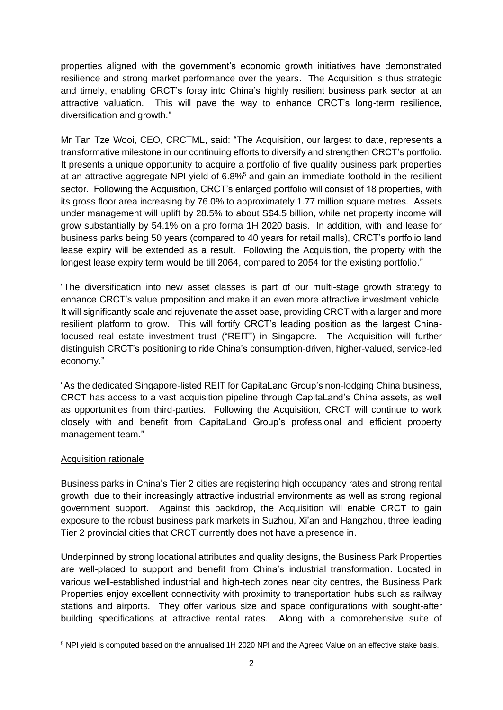properties aligned with the government's economic growth initiatives have demonstrated resilience and strong market performance over the years. The Acquisition is thus strategic and timely, enabling CRCT's foray into China's highly resilient business park sector at an attractive valuation. This will pave the way to enhance CRCT's long-term resilience, diversification and growth."

Mr Tan Tze Wooi, CEO, CRCTML, said: "The Acquisition, our largest to date, represents a transformative milestone in our continuing efforts to diversify and strengthen CRCT's portfolio. It presents a unique opportunity to acquire a portfolio of five quality business park properties at an attractive aggregate NPI yield of 6.8%<sup>5</sup> and gain an immediate foothold in the resilient sector. Following the Acquisition, CRCT's enlarged portfolio will consist of 18 properties, with its gross floor area increasing by 76.0% to approximately 1.77 million square metres. Assets under management will uplift by 28.5% to about S\$4.5 billion, while net property income will grow substantially by 54.1% on a pro forma 1H 2020 basis. In addition, with land lease for business parks being 50 years (compared to 40 years for retail malls), CRCT's portfolio land lease expiry will be extended as a result. Following the Acquisition, the property with the longest lease expiry term would be till 2064, compared to 2054 for the existing portfolio."

"The diversification into new asset classes is part of our multi-stage growth strategy to enhance CRCT's value proposition and make it an even more attractive investment vehicle. It will significantly scale and rejuvenate the asset base, providing CRCT with a larger and more resilient platform to grow. This will fortify CRCT's leading position as the largest Chinafocused real estate investment trust ("REIT") in Singapore. The Acquisition will further distinguish CRCT's positioning to ride China's consumption-driven, higher-valued, service-led economy."

"As the dedicated Singapore-listed REIT for CapitaLand Group's non-lodging China business, CRCT has access to a vast acquisition pipeline through CapitaLand's China assets, as well as opportunities from third-parties. Following the Acquisition, CRCT will continue to work closely with and benefit from CapitaLand Group's professional and efficient property management team."

### Acquisition rationale

Business parks in China's Tier 2 cities are registering high occupancy rates and strong rental growth, due to their increasingly attractive industrial environments as well as strong regional government support. Against this backdrop, the Acquisition will enable CRCT to gain exposure to the robust business park markets in Suzhou, Xi'an and Hangzhou, three leading Tier 2 provincial cities that CRCT currently does not have a presence in.

Underpinned by strong locational attributes and quality designs, the Business Park Properties are well-placed to support and benefit from China's industrial transformation. Located in various well-established industrial and high-tech zones near city centres, the Business Park Properties enjoy excellent connectivity with proximity to transportation hubs such as railway stations and airports. They offer various size and space configurations with sought-after building specifications at attractive rental rates. Along with a comprehensive suite of

<sup>5</sup> NPI yield is computed based on the annualised 1H 2020 NPI and the Agreed Value on an effective stake basis.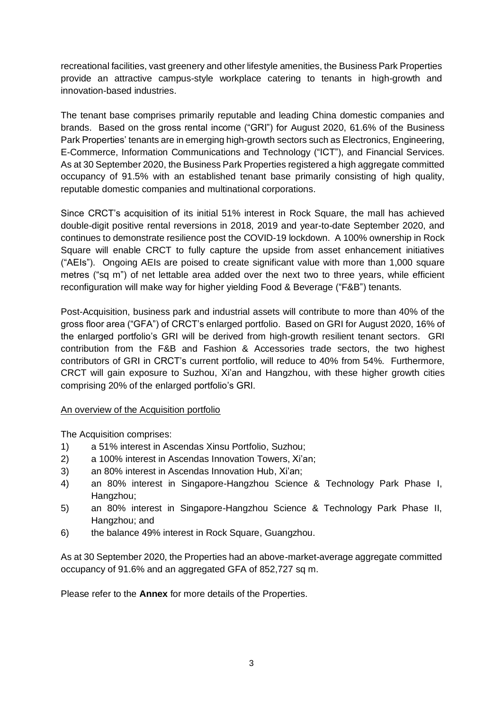recreational facilities, vast greenery and other lifestyle amenities, the Business Park Properties provide an attractive campus-style workplace catering to tenants in high-growth and innovation-based industries.

The tenant base comprises primarily reputable and leading China domestic companies and brands. Based on the gross rental income ("GRI") for August 2020, 61.6% of the Business Park Properties' tenants are in emerging high-growth sectors such as Electronics, Engineering, E-Commerce, Information Communications and Technology ("ICT"), and Financial Services. As at 30 September 2020, the Business Park Properties registered a high aggregate committed occupancy of 91.5% with an established tenant base primarily consisting of high quality, reputable domestic companies and multinational corporations.

Since CRCT's acquisition of its initial 51% interest in Rock Square, the mall has achieved double-digit positive rental reversions in 2018, 2019 and year-to-date September 2020, and continues to demonstrate resilience post the COVID-19 lockdown. A 100% ownership in Rock Square will enable CRCT to fully capture the upside from asset enhancement initiatives ("AEIs"). Ongoing AEIs are poised to create significant value with more than 1,000 square metres ("sq m") of net lettable area added over the next two to three years, while efficient reconfiguration will make way for higher yielding Food & Beverage ("F&B") tenants.

Post-Acquisition, business park and industrial assets will contribute to more than 40% of the gross floor area ("GFA") of CRCT's enlarged portfolio. Based on GRI for August 2020, 16% of the enlarged portfolio's GRI will be derived from high-growth resilient tenant sectors. GRI contribution from the F&B and Fashion & Accessories trade sectors, the two highest contributors of GRI in CRCT's current portfolio, will reduce to 40% from 54%. Furthermore, CRCT will gain exposure to Suzhou, Xi'an and Hangzhou, with these higher growth cities comprising 20% of the enlarged portfolio's GRI.

## An overview of the Acquisition portfolio

The Acquisition comprises:

- 1) a 51% interest in Ascendas Xinsu Portfolio, Suzhou;
- 2) a 100% interest in Ascendas Innovation Towers, Xi'an;
- 3) an 80% interest in Ascendas Innovation Hub, Xi'an;
- 4) an 80% interest in Singapore-Hangzhou Science & Technology Park Phase I, Hangzhou;
- 5) an 80% interest in Singapore-Hangzhou Science & Technology Park Phase II, Hangzhou; and
- 6) the balance 49% interest in Rock Square, Guangzhou.

As at 30 September 2020, the Properties had an above-market-average aggregate committed occupancy of 91.6% and an aggregated GFA of 852,727 sq m.

Please refer to the **Annex** for more details of the Properties.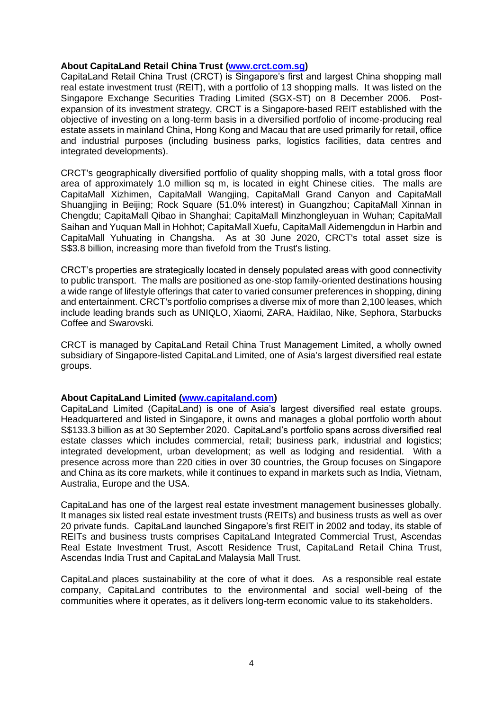#### **About CapitaLand Retail China Trust [\(www.crct.com.sg\)](http://www.crct.com.sg/)**

CapitaLand Retail China Trust (CRCT) is Singapore's first and largest China shopping mall real estate investment trust (REIT), with a portfolio of 13 shopping malls. It was listed on the Singapore Exchange Securities Trading Limited (SGX-ST) on 8 December 2006. Postexpansion of its investment strategy, CRCT is a Singapore-based REIT established with the objective of investing on a long-term basis in a diversified portfolio of income-producing real estate assets in mainland China, Hong Kong and Macau that are used primarily for retail, office and industrial purposes (including business parks, logistics facilities, data centres and integrated developments).

CRCT's geographically diversified portfolio of quality shopping malls, with a total gross floor area of approximately 1.0 million sq m, is located in eight Chinese cities. The malls are CapitaMall Xizhimen, CapitaMall Wangjing, CapitaMall Grand Canyon and CapitaMall Shuangjing in Beijing; Rock Square (51.0% interest) in Guangzhou; CapitaMall Xinnan in Chengdu; CapitaMall Qibao in Shanghai; CapitaMall Minzhongleyuan in Wuhan; CapitaMall Saihan and Yuquan Mall in Hohhot; CapitaMall Xuefu, CapitaMall Aidemengdun in Harbin and CapitaMall Yuhuating in Changsha. As at 30 June 2020, CRCT's total asset size is S\$3.8 billion, increasing more than fivefold from the Trust's listing.

CRCT's properties are strategically located in densely populated areas with good connectivity to public transport. The malls are positioned as one-stop family-oriented destinations housing a wide range of lifestyle offerings that cater to varied consumer preferences in shopping, dining and entertainment. CRCT's portfolio comprises a diverse mix of more than 2,100 leases, which include leading brands such as UNIQLO, Xiaomi, ZARA, Haidilao, Nike, Sephora, Starbucks Coffee and Swarovski.

CRCT is managed by CapitaLand Retail China Trust Management Limited, a wholly owned subsidiary of Singapore-listed CapitaLand Limited, one of Asia's largest diversified real estate groups.

#### **About CapitaLand Limited [\(www.capitaland.com\)](http://www.capitaland.com/)**

CapitaLand Limited (CapitaLand) is one of Asia's largest diversified real estate groups. Headquartered and listed in Singapore, it owns and manages a global portfolio worth about S\$133.3 billion as at 30 September 2020. CapitaLand's portfolio spans across diversified real estate classes which includes commercial, retail; business park, industrial and logistics; integrated development, urban development; as well as lodging and residential. With a presence across more than 220 cities in over 30 countries, the Group focuses on Singapore and China as its core markets, while it continues to expand in markets such as India, Vietnam, Australia, Europe and the USA.

CapitaLand has one of the largest real estate investment management businesses globally. It manages six listed real estate investment trusts (REITs) and business trusts as well as over 20 private funds. CapitaLand launched Singapore's first REIT in 2002 and today, its stable of REITs and business trusts comprises CapitaLand Integrated Commercial Trust, Ascendas Real Estate Investment Trust, Ascott Residence Trust, CapitaLand Retail China Trust, Ascendas India Trust and CapitaLand Malaysia Mall Trust.

CapitaLand places sustainability at the core of what it does. As a responsible real estate company, CapitaLand contributes to the environmental and social well-being of the communities where it operates, as it delivers long-term economic value to its stakeholders.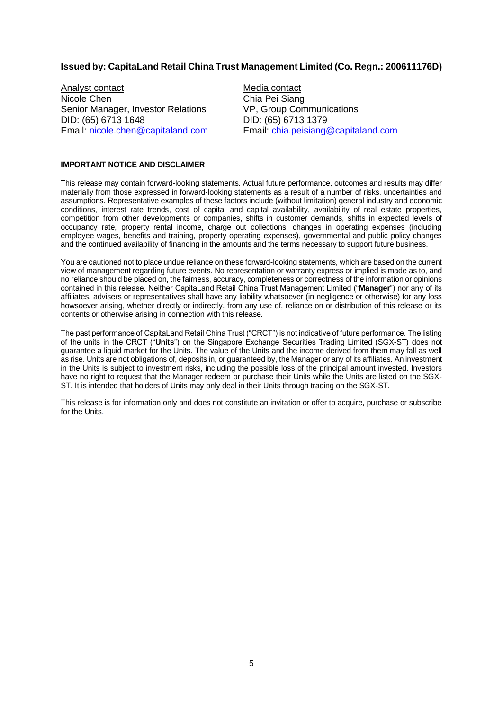### **Issued by: CapitaLand Retail China Trust Management Limited (Co. Regn.: 200611176D)**

Analyst contact<br>
Nicole Chen<br>
Nicole Chen<br>
Chia Pei Siano Senior Manager, Investor Relations VP, Group Communications DID: (65) 6713 1648 DID: (65) 6713 1379

Chia Pei Siang Email: [nicole.chen@capitaland.com](mailto:nicole.chen@capitaland.com) Email: [chia.peisiang@capitaland.com](mailto:chia.peisiang@capitaland.com)

#### **IMPORTANT NOTICE AND DISCLAIMER**

This release may contain forward-looking statements. Actual future performance, outcomes and results may differ materially from those expressed in forward-looking statements as a result of a number of risks, uncertainties and assumptions. Representative examples of these factors include (without limitation) general industry and economic conditions, interest rate trends, cost of capital and capital availability, availability of real estate properties, competition from other developments or companies, shifts in customer demands, shifts in expected levels of occupancy rate, property rental income, charge out collections, changes in operating expenses (including employee wages, benefits and training, property operating expenses), governmental and public policy changes and the continued availability of financing in the amounts and the terms necessary to support future business.

You are cautioned not to place undue reliance on these forward-looking statements, which are based on the current view of management regarding future events. No representation or warranty express or implied is made as to, and no reliance should be placed on, the fairness, accuracy, completeness or correctness of the information or opinions contained in this release. Neither CapitaLand Retail China Trust Management Limited ("**Manager**") nor any of its affiliates, advisers or representatives shall have any liability whatsoever (in negligence or otherwise) for any loss howsoever arising, whether directly or indirectly, from any use of, reliance on or distribution of this release or its contents or otherwise arising in connection with this release.

The past performance of CapitaLand Retail China Trust ("CRCT") is not indicative of future performance. The listing of the units in the CRCT ("**Units**") on the Singapore Exchange Securities Trading Limited (SGX-ST) does not guarantee a liquid market for the Units. The value of the Units and the income derived from them may fall as well as rise. Units are not obligations of, deposits in, or guaranteed by, the Manager or any of its affiliates. An investment in the Units is subject to investment risks, including the possible loss of the principal amount invested. Investors have no right to request that the Manager redeem or purchase their Units while the Units are listed on the SGX-ST. It is intended that holders of Units may only deal in their Units through trading on the SGX-ST.

This release is for information only and does not constitute an invitation or offer to acquire, purchase or subscribe for the Units.